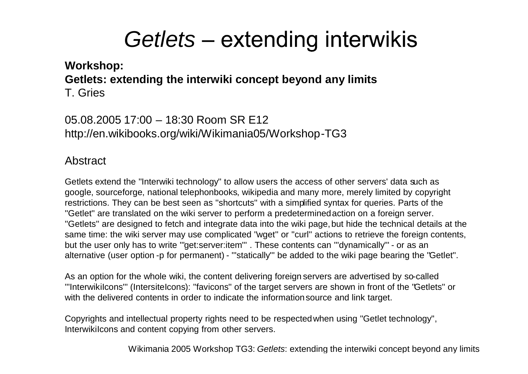**Workshop: Getlets: extending the interwiki concept beyond any limits** T. Gries

05.08.2005 17:00 – 18:30 Room SR E12 http://en.wikibooks.org/wiki/Wikimania05/Workshop-TG3

#### Abstract

Getlets extend the ''Interwiki technology'' to allow users the access of other servers' data such as google, sourceforge, national telephonbooks, wikipedia and many more, merely limited by copyright restrictions. They can be best seen as ''shortcuts'' with a simplified syntax for queries. Parts of the ''Getlet'' are translated on the wiki server to perform a predeterminedaction on a foreign server. ''Getlets'' are designed to fetch and integrate data into the wiki page,but hide the technical details at the same time: the wiki server may use complicated ''wget'' or ''curl'' actions to retrieve the foreign contents, but the user only has to write "'get:server:item'". These contents can "'dynamically" - or as an alternative (user option -p for permanent) - '''statically''' be added to the wiki page bearing the ''Getlet''.

As an option for the whole wiki, the content delivering foreign servers are advertised by so-called '''InterwikiIcons''' (IntersiteIcons): ''favicons'' of the target servers are shown in front of the ''Getlets'' or with the delivered contents in order to indicate the information source and link target.

Copyrights and intellectual property rights need to be respectedwhen using ''Getlet technology'', InterwikiIcons and content copying from other servers.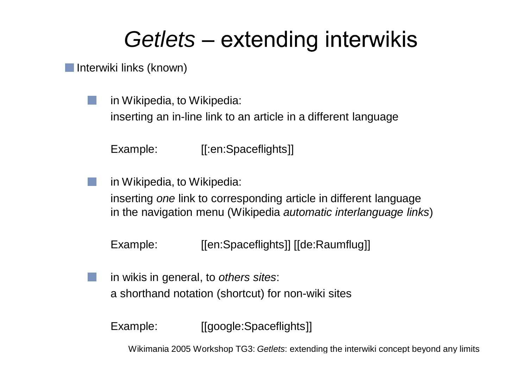Interwiki links (known)

in Wikipedia, to Wikipedia: inserting an in-line link to an article in a different language

Example: [[:en:Spaceflights]]

in Wikipedia, to Wikipedia:

inserting *one* link to corresponding article in different language in the navigation menu (Wikipedia *automatic interlanguage links*)

Example: [[en:Spaceflights]] [[de:Raumflug]]

in wikis in general, to *others sites*: a shorthand notation (shortcut) for non-wiki sites

Example: [[google:Spaceflights]]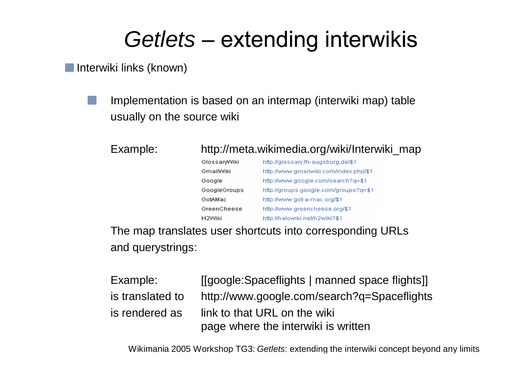Interwiki links (known)

Implementation is based on an intermap (interwiki map) table usually on the source wiki

### Example: http://meta.wikimedia.org/wiki/Interwiki\_map

| GlossaryWiki | http://glossary.fh-augsburg.de/\$1     |  |
|--------------|----------------------------------------|--|
| GmailWiki    | http://www.gmailwiki.com/index.php/\$1 |  |
| Google       | http://www.google.com/search?q=\$1     |  |
| GoogleGroups | http://groups.google.com/groups?g=\$1  |  |
| GotAMac      | http://www.got-a-mac.org/\$1           |  |
| GreenCheese  | http://www.greencheese.org/\$1         |  |
| H2Wiki       | http://halowiki.net/h2wiki?\$1         |  |

The map translates user shortcuts into corresponding URLs and querystrings:

| Example:         | [[google:Spaceflights   manned space flights]] |
|------------------|------------------------------------------------|
| is translated to | http://www.google.com/search?q=Spaceflights    |
| is rendered as   | link to that URL on the wiki                   |
|                  | page where the interwiki is written            |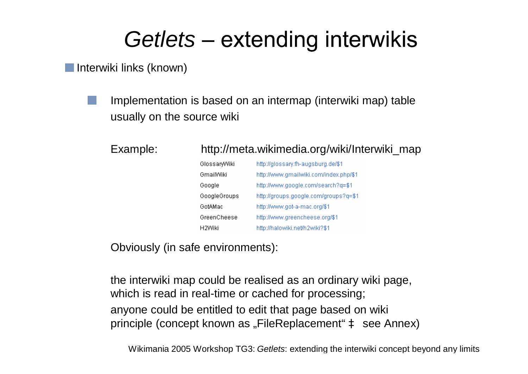Interwiki links (known)

Implementation is based on an intermap (interwiki map) table usually on the source wiki

| Example: | http://meta.wikimedia.org/wiki/Interwiki_map |                                        |  |
|----------|----------------------------------------------|----------------------------------------|--|
|          | GlossaryWiki                                 | http://glossary.fh-augsburg.de/\$1     |  |
|          | GmailWiki                                    | http://www.gmailwiki.com/index.php/\$1 |  |
|          | Google                                       | http://www.google.com/search?q=\$1     |  |
|          | GoogleGroups                                 | http://groups.google.com/groups?q=\$1  |  |
|          | GotAMac                                      | http://www.got-a-mac.org/\$1           |  |
|          | GreenCheese                                  | http://www.greencheese.org/\$1         |  |
|          | H2Wiki                                       | http://halowiki.net/h2wiki?\$1         |  |
|          |                                              |                                        |  |

Obviously (in safe environments):

the interwiki map could be realised as an ordinary wiki page, which is read in real-time or cached for processing; anyone could be entitled to edit that page based on wiki principle (concept known as "FileReplacement" à see Annex)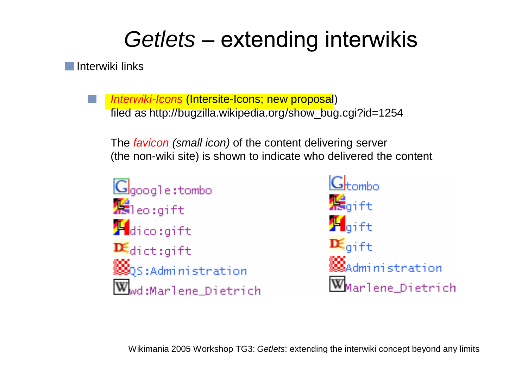Interwiki links

*Interwiki-Icons* (Intersite-Icons; new proposal) filed as http://bugzilla.wikipedia.org/show\_bug.cgi?id=1254

The *favicon (small icon)* of the content delivering server (the non-wiki site) is shown to indicate who delivered the content

 $G<sub>qooq</sub>1e:tombo$  $\mathcal{H}_{\text{1e0:qift}}$  $\mathbf{F}_{\text{dico:qift}}$  $\mathbf{R}_{\text{dict:qift}}$ ▒<mark>▒</mark>QS:Administration  $\overline{\textbf{w}}$ wd:Marlene Dietrich

 $G<sub>tramho</sub>$ *是*aift  $\mathbf{H}_{\mathsf{qift}}$  $\mathbf{R}_{\mathsf{qift}}$ **MOS**<br>Administration W<sub>Marlene</sub> Dietrich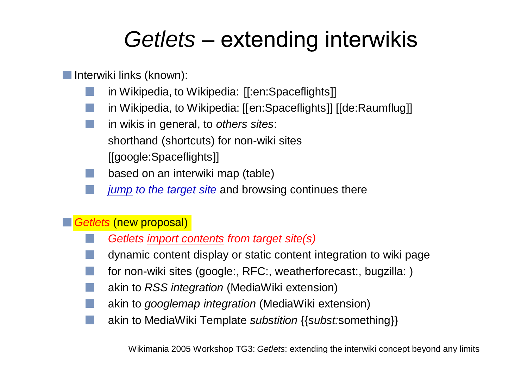**Interwiki links (known):** 

- in Wikipedia, to Wikipedia: [[:en:Spaceflights]]
- in Wikipedia, to Wikipedia: [[en:Spaceflights]] [[de:Raumflug]]
- in wikis in general, to *others sites*: shorthand (shortcuts) for non-wiki sites [[google:Spaceflights]]
- based on an interwiki map (table)
- *jump to the target site* and browsing continues there

### *Getlets* (new proposal)

- *Getlets import contents from target site(s)*
- dynamic content display or static content integration to wiki page
- for non-wiki sites (google:, RFC:, weatherforecast:, bugzilla: )
- akin to *RSS integration* (MediaWiki extension)
- akin to *googlemap integration* (MediaWiki extension)
- akin to MediaWiki Template *substition* {{*subst:*something}}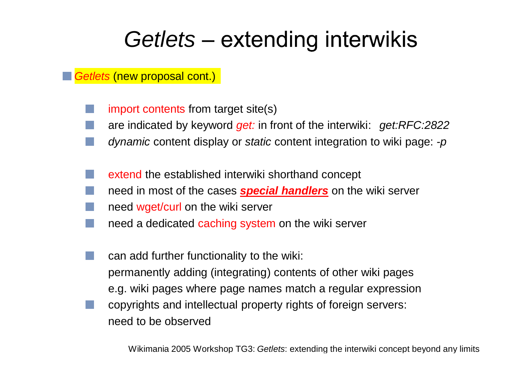*Getlets* (new proposal cont.)

- import contents from target site(s)
- are indicated by keyword *get:* in front of the interwiki: *get:RFC:2822*
- *dynamic* content display or *static* content integration to wiki page: *-p*
- extend the established interwiki shorthand concept
- need in most of the cases *special handlers* on the wiki server
- need wget/curl on the wiki server
- need a dedicated caching system on the wiki server
- can add further functionality to the wiki: permanently adding (integrating) contents of other wiki pages e.g. wiki pages where page names match a regular expression
- copyrights and intellectual property rights of foreign servers: need to be observed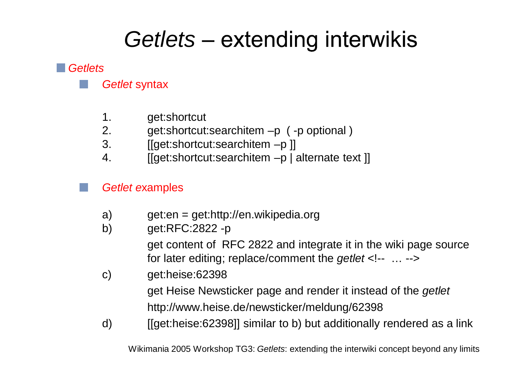#### *Getlets*



- 1. get:shortcut
- 2. get:shortcut:searchitem –p ( -p optional )
- 3. [[get:shortcut:searchitem –p ]]
- 4. [[get:shortcut:searchitem –p | alternate text ]]

### *Getlet e*xamples

- a) get:en = get:http://en.wikipedia.org
- b) get:RFC:2822 -p

get content of RFC 2822 and integrate it in the wiki page source for later editing; replace/comment the *getlet* <!-- … -->

c) get:heise:62398

get Heise Newsticker page and render it instead of the *getlet* http://www.heise.de/newsticker/meldung/62398

d) [[get:heise:62398]] similar to b) but additionally rendered as a link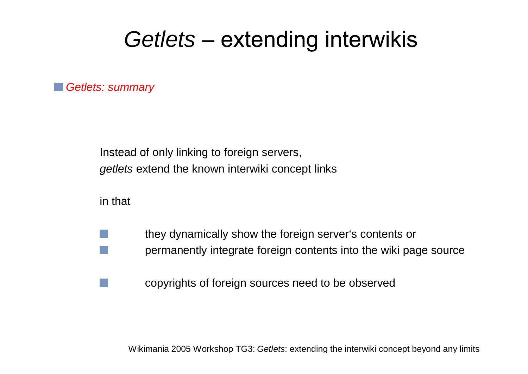*Getlets: summary*

Instead of only linking to foreign servers, *getlets* extend the known interwiki concept links

in that

- they dynamically show the foreign server's contents or permanently integrate foreign contents into the wiki page source
	- copyrights of foreign sources need to be observed